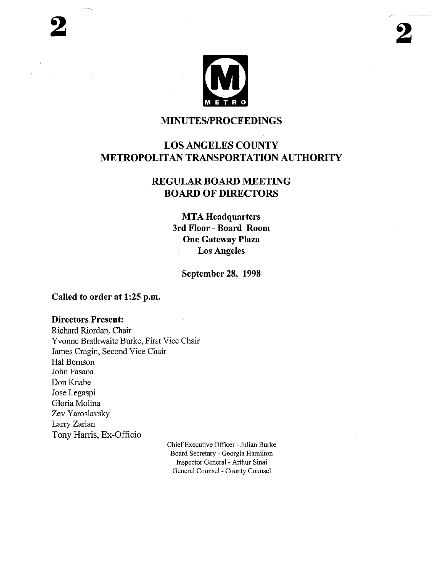

# MINUTES/PROCEEDINGS

# LOS ANGELES COUNTY METROPOLITAN TRANSPORTATION AUTHORITY

# REGULAR BOARD MEETING BOARD OF DIRECTORS

**MTA Headquarters 3rd Floor - Board Room One Gateway Plaza Los Angeles**

**September 28, 1998**

**Called to order at 1:25 p.m.**

### **Directors Present:**

Richard Riordan, Chair Yvonne Brathwaite Burke, First Vice Chair James Cragin, Second Vice Chair Hal Bernson John Fasana Don Knabe Jose Legaspi Gloria Molina Zev Yaroslavsky Larry Zarian Tony Harris, Ex-Officio

Chief Executive Officer - Julian Burke Board Secretary - Georgia Hamilton Inspector General - Arthur Sinai General Counsel - County Counsel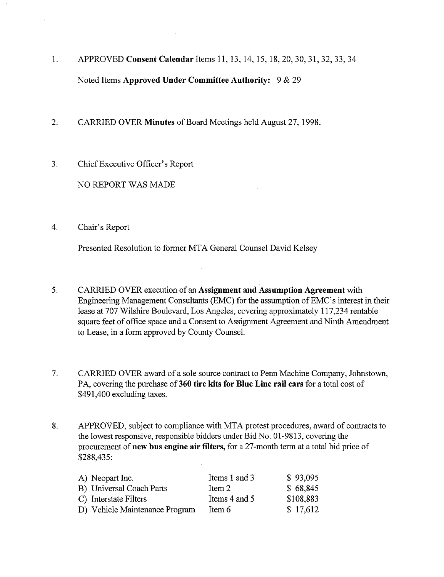- 1. APPROVED Consent Calendar Items 11, 13, 14, 15, 18, 20, 30, 31, 32, 33, 34 Noted Items **Approved Under Committee Authority:** 9 & 29
- 2. CARRIED OVER **Minutes** of Board Meetings held August 27, 1998.
- 3. Chief Executive Officer's Report

NO REPORT WAS MADE

4. Chair's Report

Presented Resolution to former MTA General Counsel David Kelsey

- 5. CARRIED OVER execution of an **Assignment and Assumption Agreement** with Engineering Management Consultants (EMC) for the assumption of EMC's interest in their lease at 707 Wilshire Boulevard, Los Angeles, covering approximately 117,234 rentable square feet of office space and a Consent to Assignment Agreement and Ninth Amendment to Lease, in a form approved by County Counsel.
- 7. CARRIED OVER award of a sole source contract to Penn Machine Company, Johnstown, PA, covering the purchase of 360 tire kits for Blue Line rail cars for a total cost of \$491,400 excluding taxes.
- APPROVED, subject to compliance with MTA protest procedures, award of contracts to 8. the lowest responsive, responsible bidders under Bid No. 01-9813, covering the procurement of **new bus engine air** filters, for a 27-month term at a total bid price of \$288,435:

| A) Neopart Inc.                | Items 1 and 3 | \$93,095  |
|--------------------------------|---------------|-----------|
| B) Universal Coach Parts       | Item $2$      | \$68,845  |
| C) Interstate Filters          | Items 4 and 5 | \$108,883 |
| D) Vehicle Maintenance Program | Item 6        | \$17,612  |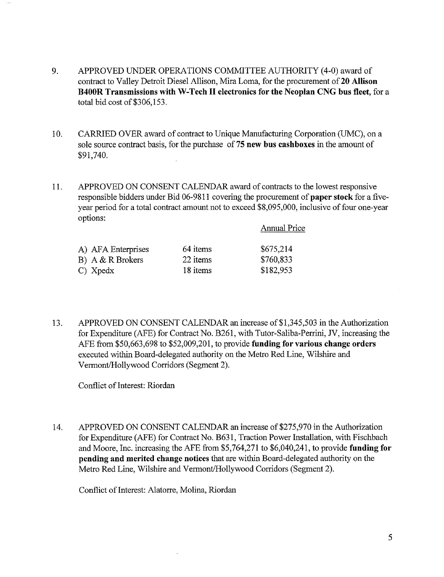- APPROVED UNDER OPERATIONS COMMITTEE AUTHORITY (4-0) award 9. contract to Valley Detroit Diesel Allison, Mira Loma, for the procurement of 20 **Allison B400R Transmissions with W-Tech II electronics for the Neoplan CNG bus fleet, for a** total bid cost of \$306,153.
- 10. CARRIED OVER award of contract to Unique Manufacturing Corporation (UMC), on a sole source contract basis, for the purchase of 75 **new bus cashboxes** in the amount of \$91,740.
- 11. APPROVED ON CONSENT CALENDAR award of contracts to the lowest responsive responsible bidders under Bid 06-9811 covering the procurement **of paper stock** for a fiveyear period for a total contract amount not to exceed \$8,095,000, inclusive of four one-year options:

Annual Price

| A) AFA Enterprises | 64 items | \$675,214 |
|--------------------|----------|-----------|
| B) A & R Brokers   | 22 items | \$760,833 |
| C) Xpedx           | 18 items | \$182,953 |

13. APPROVED ON CONSENT CALENDAR an increase of \$1,345,503 in the Authorization for Expenditure (AFE) for Contract No. B261, with Tutor-Saliba-Perrini, JV, increasing the AFE from \$50,663,698 to \$52,009,201, to provide **funding for various change orders** executed within Board-delegated authority on the Metro Red Line, Wilshire and Vermont/Hollywood Corridors (Segment 2).

Conflict of Imerest: Riordan

14. APPROVED ON CONSENT CALENDAR an increase of \$275,970 in the Authorization for Expenditure (AFE) for Contract No. B631, Traction Power Installation, with Fischbach and Moore, Inc. increasing the AFE from \$5,764,271 to \$6,040,241, to provide **funding for pending and merited change notices** that are within Board-delegated authority on the Metro Red Line, Wilshire and Vermont/Hollywood Corridors (Segment 2).

Conflict of Interest: Alatorre, Molina, Riordan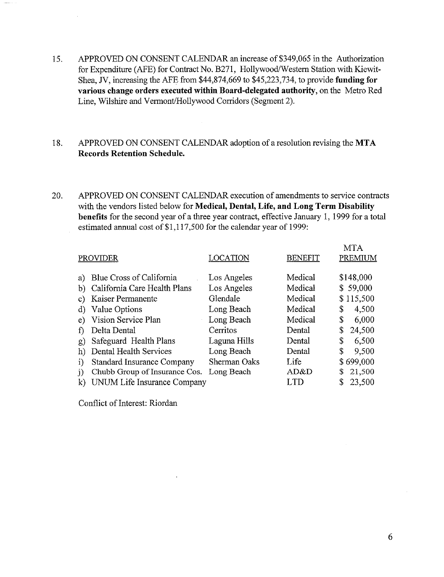15. APPROVED ON CONSENT CALENDAR an increase of \$349,065 in the Authorization for Expenditure (AFE) for Contract No. B271, Hollywood/Western Station with Kiewit-Shea, JV, increasing the AFE from \$44,874,669 to \$45,223,734, to provide funding for **various change orders executed within Board-delegated authority,** on the Metro Red Line, Wilshire and Vermont/Hollywood Corridors (Segment 2).

## 18. APPROVED ON CONSENT CALENDAR adoption of a resolution revising the MTA **Records Retention Schedule.**

20. APPROVED ON CONSENT CALENDAR execution of amendments to service contracts with the vendors listed below for **Medical, Dental, Life, and** Long Term **Disability benefits** for the second year of a three year contract, effective January 1, 1999 for a total estimated annual cost of\$1,117,500 for the calendar year of 1999:

|              | <b>PROVIDER</b>                   | LOCATION     | <b>BENEFIT</b> | <b>MTA</b><br><b>PREMIUM</b> |
|--------------|-----------------------------------|--------------|----------------|------------------------------|
| a)           | Blue Cross of California          | Los Angeles  | Medical        | \$148,000                    |
| b)           | California Care Health Plans      | Los Angeles  | Medical        | \$59,000                     |
| C)           | Kaiser Permanente                 | Glendale     | Medical        | \$115,500                    |
| d)           | Value Options                     | Long Beach   | Medical        | 4,500<br>\$                  |
| e)           | Vision Service Plan               | Long Beach   | Medical        | \$<br>6,000                  |
|              | Delta Dental                      | Cerritos     | Dental         | \$<br>24,500                 |
| g)           | Safeguard Health Plans            | Laguna Hills | Dental         | \$<br>6,500                  |
| h)           | Dental Health Services            | Long Beach   | Dental         | \$<br>9,500                  |
| i)           | <b>Standard Insurance Company</b> | Sherman Oaks | Life           | \$699,000                    |
| $\mathbf{1}$ | Chubb Group of Insurance Cos.     | Long Beach   | AD&D           | 21,500<br>S                  |
| $\bf k$      | UNUM Life Insurance Company       |              | LTD            | 23,500                       |

Conflict of Interest: Riordan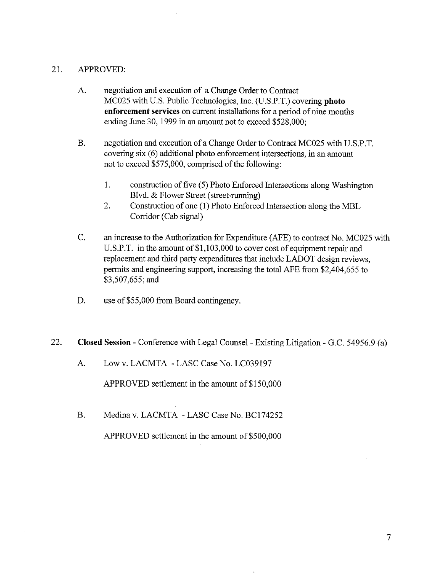#### 21. APPROVED:

- negotiation and execution of a Change Order to Contract A. MC025 with U.S. Public Technologies, Inc. (U.S.P.T.) covering photo enforcement services on current installations for a period of nine months ending June 30, 1999 in an amount not to exceed \$528,000;
- **B.** negotiation and execution of a Change Order to Contract MC025 with U.S.P.T. covering six (6) additional photo enforcement intersections, in an amount not to exceed \$575,000, comprised of the following:
	- construction of five (5) Photo Enforced Intersections along Washington 1. Blvd. & Flower Street (street-running)
	- $\overline{2}$ . Construction of one (1) Photo Enforced Intersection along the MBL Corridor (Cab signal)
- C. an increase to the Authorization for Expenditure (AFE) to contract No. MC025 with U.S.P.T. in the amount of \$1,103,000 to cover cost of equipment repair and replacement and third party expenditures that include LADOT design reviews, permits and engineering support, increasing the total AFE from \$2,404,655 to \$3,507,655; and
- D. use of \$55,000 from Board contingency.

# 22. Closed Session - Conference with Legal Counsel - Existing Litigation - G.C. 54956.9 (a)

A. Low v. LACMTA - LASC Case No. LC039197

APPROVED settlement in the amount of  $$150,000$ 

B. Medina v. LACMTA - LASC Case No. BC174252

APPROVED settlement in the amount of \$500,000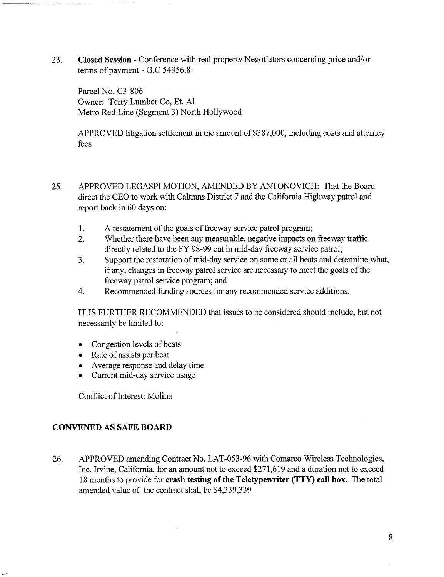23. **Closed Session -** Conference with real property Negotiators conceming price and/or terms of payment - G.C 54956.8:

Parcel No. C3-806 Owner: Terry Lumber Co, Et. A1 Metro Red Line (Segment 3) North Hollywood

APPROVED litigation settlement in the amount of \$387,000, including costs and attorney fees

- 25. APPROVED LEGASPI MOTION, AMENDED BY ANTONOVICH: That the Board direct the CEO to work with Caltrans District 7 and the California Highway patrol and report back in 60 days on:
	- 1. A restatement of the goals of freeway service patrol program;
	- Whether there have been any measurable, negative impacts on freeway traffic  $2.$ directly related to the FY 98-99 cut in mid-day freeway service patrol;
	- Support the restoration of mid-day service on some or all beats and determine what,  $\overline{3}$ . if any, changes in freeway patrol service are necessary to meet the goals of the freeway patrol service program; and
	- Recommended funding sources for any recommended service additions. 4.

IT IS FURTHER RECOMMENDED that issues to be considered should include, but not necessarily be limited to:

- Congestion levels of beats
- Rate of assists per beat
- ¯ Average response and delay time
- Current mid-day service usage

Conflict of Interest: Molina

#### **CONVENED AS SAFE BOARD**

26. APPROVED amending Contract No. LAT-053-96 with Comarco Wireless Technologies, Inc. Irvine, California, for an amount not to exceed \$271,619 and a duration not to exceed 18 months to provide for crash testing of the Teletypewriter (TTY) call box. The total amended value of the contract shall be \$4,339,339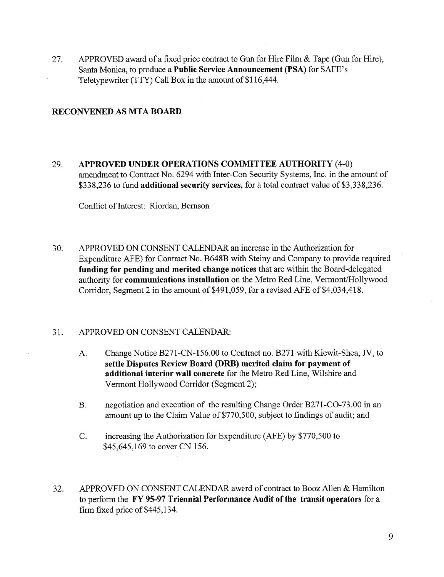27. APPROVED award of a fixed price contract to Gun for Hire Film  $\&$  Tape (Gun for Hire), Santa Monica, to produce a **Public Service Announcement (PSA)** for SAFE's Teletypewriter (TTY) Call Box in the amount of \$116,444.

### **RECONVENED AS MTA BOARD**

29. **APPROVED UNDER OPERATIONS COMMITTEE AUTHORITY (4-0)** amendment to Contract No. 6294 with Inter-Con Security Systems, Inc. in the amount of **\$338,236** to fund **additional security services, for a** total contract value of **\$3,338,236.**

Conflict of Interest: Riordan, Bemson

30. APPROVED ON CONSENT CALENDAR an increase in the Authorization for Expenditure AFE) for Contract No. B648B with Steiny and Company to provide required **funding for pending and merited change notices** that are within the Board-delegated authority for **communications installation** on the Metro Red Line, Vermont/Hollywood Corridor, Segment 2 in the amount of \$491,059, for a revised AFE of \$4,034,418.

#### 31. APPROVED ON CONSENT CALENDAR:

- Change Notice B271-CN-156.00 to Contract no. B271 with Kiewit-Shea, JV, to A. **settle Disputes Review Board (DRB) merited claim for payment additional interior wall concrete** for the Metro Red Line, Wilshire and Vermont Hollywood Corridor (Segment 2);
- **B.** negotiation and execution of the resulting Change Order B271-CO-73.00 in an amount up to the Claim Value of \$770,500, subject to findings of audit; and
- increasing the Authorization for Expenditure (AFE) by \$770,500  $C_{\cdot}$ \$45,645,169 to cover CN 156.
- 32. APPROVED ON CONSENT CALENDAR award of contract to Booz Allen & Hamilton to perform the FY **95-97 Triennial Performance Audit of the transit operators** for a firm fixed price of \$445,134.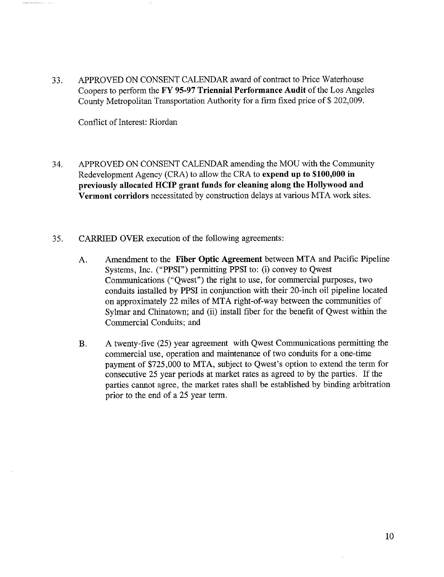33. APPROVED ON CONSENT CALENDAR award of contract to Price Waterhouse Coopers to perform the FY 95-97 **Triennial Performance Audit** of the Los Angeles County Metropolitan Transportation Authority for a firm fixed price of \$ 202,009.

Conflict of Interest: Riordan

- 34. APPROVED ON CONSENT CALENDAR amending the MOU with the Community Redevelopment Agency (CRA) to allow the CRA to expend up to \$100,000 in **previously allocated HCIP grant funds for cleaning along the Hollywood and Vermont corridors** necessitated by construction delays at various MTA work sites.
- 35. CARRIED OVER execution of the following agreements:
	- Amendment to the Fiber Optic Agreement between MTA and Pacific Pipeline A. Systems, Inc. ("PPSI") permitting PPSI to: (i) convey to Qwest Communications ("Qwest") the right to use, for commercial purposes, two conduits installed by PPSI in conjunction with their 20-inch oil pipeline located on approximately 22 miles of MTA right-of-way between the communities of Sylmar and Chinatown; and (ii) install fiber for the benefit of Qwest within the Commercial Conduits; and
	- A twenty-five (25) year agreement with Qwest Communications permitting the **B.** commercial use, operation and maintenance of two conduits for a one-time payment of \$725,000 to MTA, subject to Qwest's option to extend the term for consecutive 25 year periods at market rates as agreed to by the parties. If the parties cannot agree, the market rates shall be established by binding arbitration prior to the end of a 25 year term.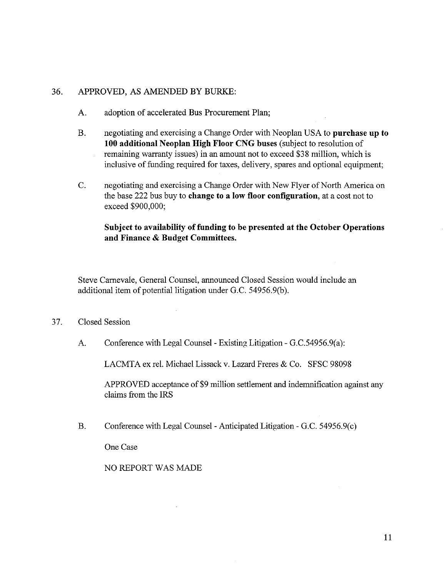#### 36. APPROVED, AS AMENDED BY BURKE:

- A. adoption of accelerated Bus Procurement Plan;
- B. negotiating and exercising a Change Order with Neoplan USA to **purchase up to 100 additional Neoplan High Floor CNG buses** (subject to resolution of remaining warranty issues) in an amount not to exceed \$38 million, which is inclusive of funding required for taxes, delivery, spares and optional equipment;
- C. negotiating and exercising a Change Order with New Flyer of North America on the base 222 bus buy to **change to** a low **floor configuration,** at a cost not to exceed \$900,000;

## **Subject to availability of funding to be presented at the October Operations and Finance & Budget Committees.**

Steve Carnevale, General Counsel, announced Closed Session would include an additional item of potential litigation under G.C. 54956.9(b).

#### 37. Closed Session

A. Conference with Legal Counsel - Existing Litigation - G.C.54956.9(a):

LACMTA ex rel. Michael Lissack v. Lazard Freres & Co. SFSC 98098

APPROVED acceptance of \$9 million settlement and indemnification against any claims from the IRS

Conference with Legal Counsel - Anticipated Litigation - G.C. 54956.9(c)  $B.$ 

One Case

NO REPORT WAS MADE